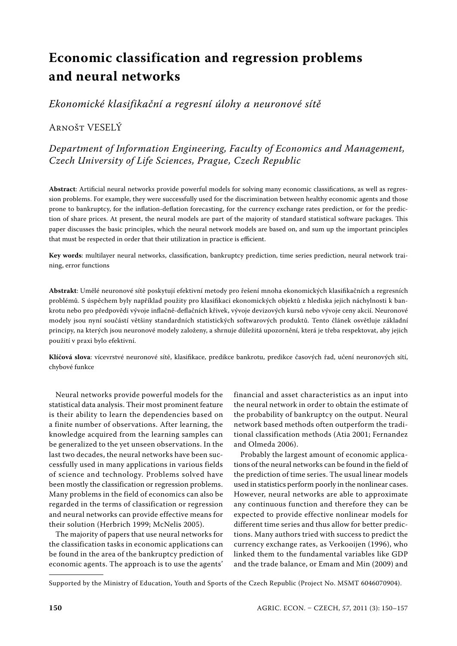# **Economic classification and regression problems and neural networks**

*Ekonomické klasifikační a regresní úlohy a neuronové sítě*

# Arnošt VESELÝ

# *Department of Information Engineering, Faculty of Economics and Management, Czech University of Life Sciences, Prague, Czech Republic*

**Abstract**: Artificial neural networks provide powerful models for solving many economic classifications, as well as regression problems. For example, they were successfully used for the discrimination between healthy economic agents and those prone to bankruptcy, for the inflation-deflation forecasting, for the currency exchange rates prediction, or for the prediction of share prices. At present, the neural models are part of the majority of standard statistical software packages. This paper discusses the basic principles, which the neural network models are based on, and sum up the important principles that must be respected in order that their utilization in practice is efficient.

**Key words**: multilayer neural networks, classification, bankruptcy prediction, time series prediction, neural network training, error functions

**Abstrakt**: Umělé neuronové sítě poskytují efektivní metody pro řešení mnoha ekonomických klasifikačních a regresních problémů. S úspěchem byly například použity pro klasifikaci ekonomických objektů z hlediska jejich náchylnosti k bankrotu nebo pro předpovědi vývoje inflačně-deflačních křivek, vývoje devizových kursů nebo vývoje ceny akcií. Neuronové modely jsou nyní součástí většiny standardních statistických softwarových produktů. Tento článek osvětluje základní principy, na kterých jsou neuronové modely založeny, a shrnuje důležitá upozornění, která je třeba respektovat, aby jejich použití v praxi bylo efektivní.

**Klíčová slova**: vícevrstvé neuronové sítě, klasifikace, predikce bankrotu, predikce časových řad, učení neuronových sítí, chybové funkce

Neural networks provide powerful models for the statistical data analysis. Their most prominent feature is their ability to learn the dependencies based on a finite number of observations. After learning, the knowledge acquired from the learning samples can be generalized to the yet unseen observations. In the last two decades, the neural networks have been successfully used in many applications in various fields of science and technology. Problems solved have been mostly the classification or regression problems. Many problems in the field of economics can also be regarded in the terms of classification or regression and neural networks can provide effective means for their solution (Herbrich 1999; McNelis 2005).

The majority of papers that use neural networks for the classification tasks in economic applications can be found in the area of the bankruptcy prediction of economic agents. The approach is to use the agents'

financial and asset characteristics as an input into the neural network in order to obtain the estimate of the probability of bankruptcy on the output. Neural network based methods often outperform the traditional classification methods (Atia 2001; Fernandez and Olmeda 2006).

Probably the largest amount of economic applications of the neural networks can be found in the field of the prediction of time series. The usual linear models used in statistics perform poorly in the nonlinear cases. However, neural networks are able to approximate any continuous function and therefore they can be expected to provide effective nonlinear models for different time series and thus allow for better predictions. Many authors tried with success to predict the currency exchange rates, as Verkooijen (1996), who linked them to the fundamental variables like GDP and the trade balance, or Emam and Min (2009) and

Supported by the Ministry of Education, Youth and Sports of the Czech Republic (Project No. MSMT 6046070904).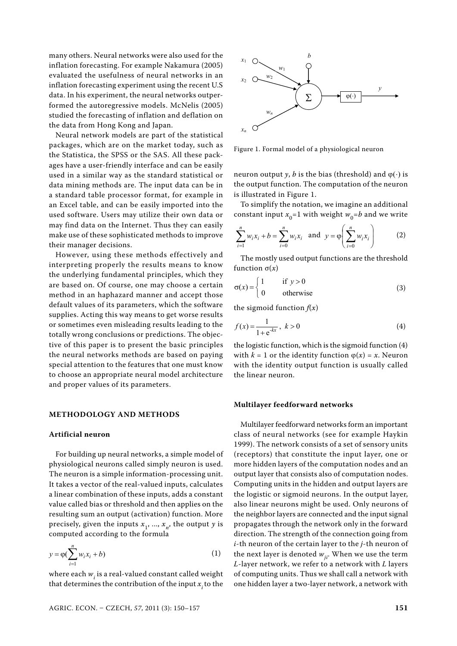many others. Neural networks were also used for the inflation forecasting. For example Nakamura (2005) evaluated the usefulness of neural networks in an inflation forecasting experiment using the recent U.S data. In his experiment, the neural networks outperformed the autoregressive models. McNelis (2005) studied the forecasting of inflation and deflation on the data from Hong Kong and Japan.

Neural network models are part of the statistical packages, which are on the market today, such as the Statistica, the SPSS or the SAS. All these packages have a user-friendly interface and can be easily used in a similar way as the standard statistical or data mining methods are. The input data can be in a standard table processor format, for example in an Excel table, and can be easily imported into the used software. Users may utilize their own data or may find data on the Internet. Thus they can easily make use of these sophisticated methods to improve their manager decisions.

However, using these methods effectively and interpreting properly the results means to know the underlying fundamental principles, which they are based on. Of course, one may choose a certain method in an haphazard manner and accept those default values of its parameters, which the software supplies. Acting this way means to get worse results or sometimes even misleading results leading to the totally wrong conclusions or predictions. The objective of this paper is to present the basic principles the neural networks methods are based on paying special attention to the features that one must know to choose an appropriate neural model architecture and proper values of its parameters.

## **METHODOLOGY AND METHODS**

#### **Artificial neuron**

For building up neural networks, a simple model of physiological neurons called simply neuron is used. The neuron is a simple information-processing unit. It takes a vector of the real-valued inputs, calculates a linear combination of these inputs, adds a constant value called bias or threshold and then applies on the resulting sum an output (activation) function. More precisely, given the inputs  $x_1$ , ...,  $x_n$ , the output y is computed according to the formula

$$
y = \varphi(\sum_{i=1}^{n} w_i x_i + b)
$$
 (1)

where each  $w_i$  is a real-valued constant called weight that determines the contribution of the input  $x_{\widetilde i}$  to the



Figure 1. Formal model of a physiological neuron

neuron output *y*, *b* is the bias (threshold) and  $\varphi(\cdot)$  is the output function. The computation of the neuron is illustrated in Figure 1.

To simplify the notation, we imagine an additional constant input  $x_0=1$  with weight  $w_0=b$  and we write

$$
\sum_{i=1}^{n} w_i x_i + b = \sum_{i=0}^{n} w_i x_i \text{ and } y = \varphi \left( \sum_{i=0}^{n} w_i x_i \right) \tag{2}
$$

The mostly used output functions are the threshold function  $\sigma(x)$ 

$$
\sigma(x) = \begin{cases} 1 & \text{if } y > 0 \\ 0 & \text{otherwise} \end{cases}
$$
 (3)

the sigmoid function  $f(x)$ 

$$
f(x) = \frac{1}{1 + e^{-kx}}, \ k > 0
$$
 (4)

the logistic function, which is the sigmoid function (4) with  $k = 1$  or the identity function  $\varphi(x) = x$ . Neuron with the identity output function is usually called the linear neuron.

#### **Multilayer feedforward networks**

Multilayer feedforward networks form an important class of neural networks (see for example Haykin 1999). The network consists of a set of sensory units (receptors) that constitute the input layer, one or more hidden layers of the computation nodes and an output layer that consists also of computation nodes. Computing units in the hidden and output layers are the logistic or sigmoid neurons. In the output layer, also linear neurons might be used. Only neurons of the neighbor layers are connected and the input signal propagates through the network only in the forward direction. The strength of the connection going from *i*-th neuron of the certain layer to the *j*-th neuron of the next layer is denoted  $w_{ij}$ . When we use the term *L*-layer network, we refer to a network with *L* layers of computing units. Thus we shall call a network with one hidden layer a two-layer network, a network with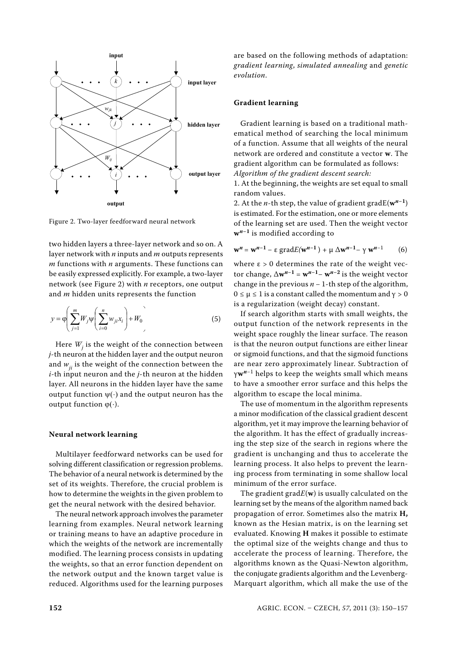

Figure 2. Two-layer feedforward neural network Figure 2. Two-layer feedforward neural network Figure 2. Two-layer feedforward neural network

two hidden layers a three-layer network and so on. A layer network with *n* inputs and *m* outputs represents *m* functions with *n* arguments. These functions can be easily expressed explicitly. For example, a two-layer network (see Figure 2) with *n* receptors, one output and *m* hidden units represents the function

$$
y = \varphi \left( \sum_{j=1}^{m} W_j \psi \left( \sum_{i=0}^{n} w_{ji} x_i \right) + W_0 \right) \tag{5}
$$

Here  $W_i$  is the weight of the connection between *j*-th neuron at the hidden layer and the output neuron and  $w_{ij}$  is the weight of the connection between the *i-*th input neuron and the *j*-th neuron at the hidden layer. All neurons in the hidden layer have the same output function  $\psi(\cdot)$  and the output neuron has the output function  $φ(·)$ .

#### **Neural network learning**

Multilayer feedforward networks can be used for solving different classification or regression problems. The behavior of a neural network is determined by the set of its weights. Therefore, the crucial problem is how to determine the weights in the given problem to get the neural network with the desired behavior.

The neural network approach involves the parameter learning from examples. Neural network learning or training means to have an adaptive procedure in which the weights of the network are incrementally modified. The learning process consists in updating the weights, so that an error function dependent on the network output and the known target value is reduced. Algorithms used for the learning purposes are based on the following methods of adaptation: *gradient learning*, *simulated annealing* and *genetic evolution*.

#### **Gradient learning**

Gradient learning is based on a traditional mathematical method of searching the local minimum of a function. Assume that all weights of the neural network are ordered and constitute a vector **w**. The gradient algorithm can be formulated as follows: *Algorithm of the gradient descent search:*

1. At the beginning, the weights are set equal to small random values.

2. At the *n*-th step, the value of gradient grad $E(w^{n-1})$ is estimated. For the estimation, one or more elements of the learning set are used. Then the weight vector **w***n***−1** is modified according to

$$
\mathbf{w}^{n} = \mathbf{w}^{n-1} - \varepsilon \operatorname{grad} E(\mathbf{w}^{n-1}) + \mu \Delta \mathbf{w}^{n-1} - \gamma \mathbf{w}^{n-1}
$$
 (6)

where  $\varepsilon > 0$  determines the rate of the weight vector change,  $\Delta \mathbf{w}^{n-1} = \mathbf{w}^{n-1} - \mathbf{w}^{n-2}$  is the weight vector change in the previous  $n - 1$ -th step of the algorithm,  $0 \leq \mu \leq 1$  is a constant called the momentum and  $\gamma > 0$ is a regularization (weight decay) constant.

If search algorithm starts with small weights, the output function of the network represents in the weight space roughly the linear surface. The reason is that the neuron output functions are either linear or sigmoid functions, and that the sigmoid functions are near zero approximately linear. Subtraction of γ**w***n*−1 helps to keep the weights small which means to have a smoother error surface and this helps the algorithm to escape the local minima.

The use of momentum in the algorithm represents a minor modification of the classical gradient descent algorithm, yet it may improve the learning behavior of the algorithm. It has the effect of gradually increasing the step size of the search in regions where the gradient is unchanging and thus to accelerate the learning process. It also helps to prevent the learning process from terminating in some shallow local minimum of the error surface.

The gradient grad*E*(**w**) is usually calculated on the learning set by the means of the algorithm named back propagation of error. Sometimes also the matrix **H,** known as the Hesian matrix, is on the learning set evaluated. Knowing **H** makes it possible to estimate the optimal size of the weights change and thus to accelerate the process of learning. Therefore, the algorithms known as the Quasi-Newton algorithm, the conjugate gradients algorithm and the Levenberg-Marquart algorithm, which all make the use of the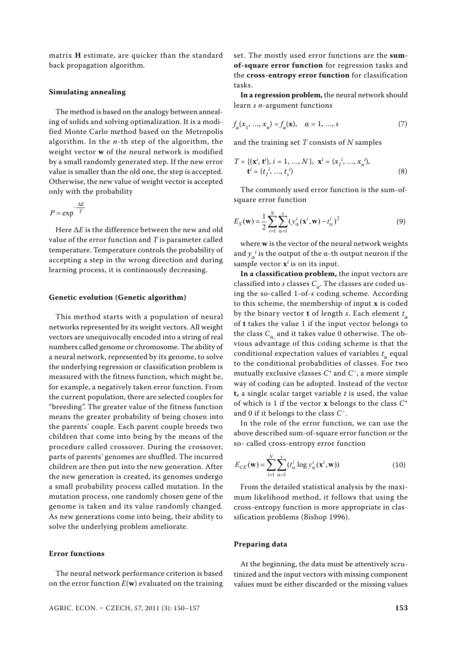matrix **H** estimate, are quicker than the standard back propagation algorithm.

## **Simulating annealing**

The method is based on the analogy between annealing of solids and solving optimalization. It is a modified Monte Carlo method based on the Metropolis algorithm. In the *n*-th step of the algorithm, the weight vector **w** of the neural network is modified by a small randomly generated step. If the new error value is smaller than the old one, the step is accepted. Otherwise, the new value of weight vector is accepted only with the probability

$$
P = \exp^{-\frac{\Delta E}{T}}
$$

Here  $\Delta E$  is the difference between the new and old value of the error function and *T* is parameter called temperature. Temperature controls the probability of accepting a step in the wrong direction and during learning process, it is continuously decreasing.

#### **Genetic evolution (Genetic algorithm)**

This method starts with a population of neural networks represented by its weight vectors. All weight vectors are unequivocally encoded into a string of real numbers called genome or chromosome. The ability of a neural network, represented by its genome, to solve the underlying regression or classification problem is measured with the fitness function, which might be, for example, a negatively taken error function. From the current population, there are selected couples for "breeding". The greater value of the fitness function means the greater probability of being chosen into the parents' couple. Each parent couple breeds two children that come into being by the means of the procedure called crossover. During the crossover, parts of parents' genomes are shuffled. The incurred children are then put into the new generation. After the new generation is created, its genomes undergo a small probability process called mutation. In the mutation process, one randomly chosen gene of the genome is taken and its value randomly changed. As new generations come into being, their ability to solve the underlying problem ameliorate.

# **Error functions**

The neural network performance criterion is based on the error function *E*(**w**) evaluated on the training

set. The mostly used error functions are the **sumof-square error function** for regression tasks and the **cross-entropy error function** for classification tasks.

**In a regression problem,** the neural network should learn *s n*-argument functions

$$
f_{\alpha}(x_1, ..., x_n) = f_{\alpha}(\mathbf{x}), \quad \alpha = 1, ..., s
$$
 (7)

and the training set *T* consists of *N* samples

$$
T = \{ (\mathbf{x}^i, \mathbf{t}^i), i = 1, ..., N \}, \ \mathbf{x}^i = (x_1^i, ..., x_n^i), \mathbf{t}^i = (t_1^i, ..., t_s^i)
$$
 (8)

The commonly used error function is the sum-ofsquare error function

$$
E_S(\mathbf{w}) = \frac{1}{2} \sum_{i=1}^{N} \sum_{\alpha=1}^{s} (y_{\alpha}^i(\mathbf{x}^i, \mathbf{w}) - t_{\alpha}^i)^2
$$
(9)

where **w** is the vector of the neural network weights and  $y_\alpha^i$  is the output of the  $\alpha$ -th output neuron if the sample vector  $x^i$  is on its input.

**In a classification problem,** the input vectors are classified into *s* classes *C<sub>α</sub>*. The classes are coded using the so-called 1-of-*s* coding scheme. According to this scheme, the membership of input **x** is coded by the binary vector **t** of length *s*. Each element *t*  $\alpha$  of **t** takes the value 1 if the input vector belongs to the class  $C_{\alpha}$  and it takes value 0 otherwise. The obvious advantage of this coding scheme is that the conditional expectation values of variables  $t_{\alpha}$  equal to the conditional probabilities of classes. For two mutually exclusive classes *C*<sup>+</sup> and *C*−, a more simple way of coding can be adopted. Instead of the vector **t,** a single scalar target variable *t* is used, the value of which is 1 if the vector **x** belongs to the class *C*<sup>+</sup> and 0 if it belongs to the class *C*−.

In the role of the error function, we can use the above described sum-of-square error function or the so- called cross-entropy error function

$$
E_{CE}(\mathbf{w}) = \sum_{i=1}^{N} \sum_{\alpha=1}^{s} (t_{\alpha}^{i} \log y_{\alpha}^{i}(\mathbf{x}^{i}, \mathbf{w}))
$$
(10)

From the detailed statistical analysis by the maximum likelihood method, it follows that using the cross-entropy function is more appropriate in classification problems (Bishop 1996).

## **Preparing data**

At the beginning, the data must be attentively scrutinized and the input vectors with missing component values must be either discarded or the missing values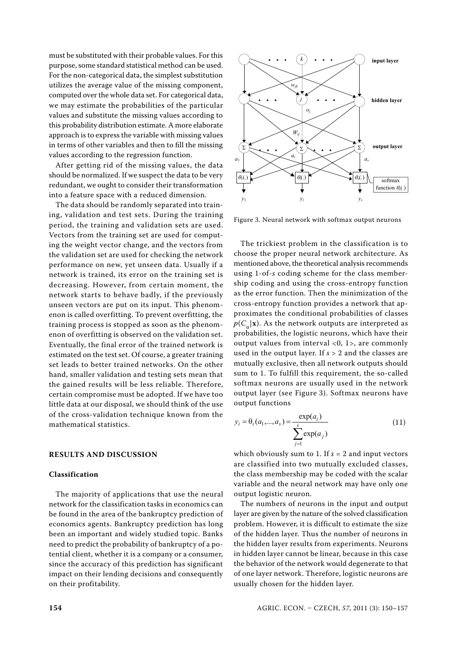must be substituted with their probable values. For this purpose, some standard statistical method can be used. For the non-categorical data, the simplest substitution utilizes the average value of the missing component, computed over the whole data set. For categorical data, we may estimate the probabilities of the particular values and substitute the missing values according to this probability distribution estimate. A more elaborate approach is to express the variable with missing values in terms of other variables and then to fill the missing values according to the regression function.

After getting rid of the missing values, the data should be normalized. If we suspect the data to be very redundant, we ought to consider their transformation into a feature space with a reduced dimension.

The data should be randomly separated into training, validation and test sets. During the training period, the training and validation sets are used. Vectors from the training set are used for computing the weight vector change, and the vectors from the validation set are used for checking the network performance on new, yet unseen data. Usually if a network is trained, its error on the training set is decreasing. However, from certain moment, the network starts to behave badly, if the previously unseen vectors are put on its input. This phenomenon is called overfitting. To prevent overfitting, the training process is stopped as soon as the phenomenon of overfitting is observed on the validation set. Eventually, the final error of the trained network is estimated on the test set. Of course, a greater training set leads to better trained networks. On the other hand, smaller validation and testing sets mean that the gained results will be less reliable. Therefore, certain compromise must be adopted. If we have too little data at our disposal, we should think of the use of the cross-validation technique known from the mathematical statistics.

#### **RESULTS AND DISCUSSION**

# **Classification**

The majority of applications that use the neural network for the classification tasks in economics can be found in the area of the bankruptcy prediction of economics agents. Bankruptcy prediction has long been an important and widely studied topic. Banks need to predict the probability of bankruptcy of a potential client, whether it is a company or a consumer, since the accuracy of this prediction has significant impact on their lending decisions and consequently on their profitability.



Figure 3. Neural network with softmax output neurons Figure 3. Neural network with softmax output neurons Figure 3. Neural network with softmax output neurons

The trickiest problem in the classification is to choose the proper neural network architecture. As mentioned above, the theoretical analysis recommends using 1-of-*s* coding scheme for the class membership coding and using the cross-entropy function as the error function. Then the minimization of the cross-entropy function provides a network that approximates the conditional probabilities of classes  $p(C_{\alpha}|\mathbf{x})$ . As the network outputs are interpreted as probabilities, the logistic neurons, which have their output values from interval <0, 1>, are commonly used in the output layer. If *s* > 2 and the classes are mutually exclusive, then all network outputs should sum to 1. To fulfill this requirement, the so-called softmax neurons are usually used in the network output layer (see Figure 3). Softmax neurons have output functions

$$
y_i = \theta_i(a_1, ..., a_s) = \frac{\exp(a_i)}{\sum_{j=1}^s \exp(a_j)}
$$
(11)

which obviously sum to 1. If  $s = 2$  and input vectors are classified into two mutually excluded classes, the class membership may be coded with the scalar variable and the neural network may have only one output logistic neuron.

The numbers of neurons in the input and output layer are given by the nature of the solved classification problem. However, it is difficult to estimate the size of the hidden layer. Thus the number of neurons in the hidden layer results from experiments. Neurons in hidden layer cannot be linear, because in this case the behavior of the network would degenerate to that of one layer network. Therefore, logistic neurons are usually chosen for the hidden layer.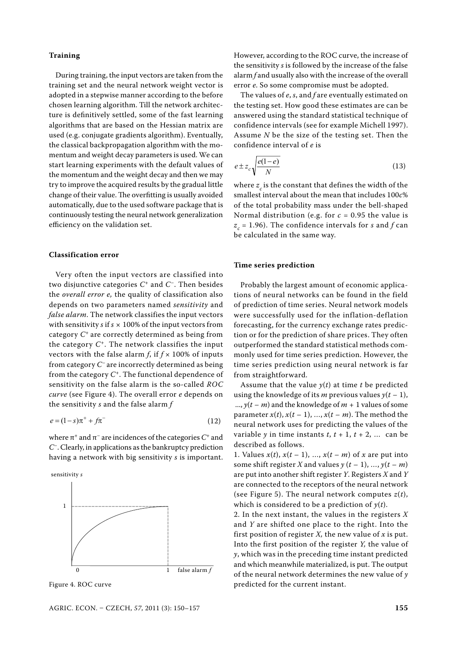# **Training**

During training, the input vectors are taken from the training set and the neural network weight vector is adopted in a stepwise manner according to the before chosen learning algorithm. Till the network architecture is definitively settled, some of the fast learning algorithms that are based on the Hessian matrix are used (e.g. conjugate gradients algorithm). Eventually, the classical backpropagation algorithm with the momentum and weight decay parameters is used. We can start learning experiments with the default values of the momentum and the weight decay and then we may try to improve the acquired results by the gradual little change of their value. The overfitting is usually avoided automatically, due to the used software package that is continuously testing the neural network generalization efficiency on the validation set.

# **Classification error**

Very often the input vectors are classified into two disjunctive categories *C*+ and *C*−. Then besides the *overall error e,* the quality of classification also depends on two parameters named *sensitivity* and *false alarm*. The network classifies the input vectors with sensitivity *s* if  $s \times 100\%$  of the input vectors from category *C*+ are correctly determined as being from the category  $C^+$ . The network classifies the input vectors with the false alarm  $f$ , if  $f \times 100\%$  of inputs from category *C*− are incorrectly determined as being from the category *C*+. The functional dependence of sensitivity on the false alarm is the so-called *ROC curve* (see Figure 4). The overall error *e* depends on the sensitivity *s* and the false alarm *f*

$$
e = (1 - s)\pi^+ + f\pi^- \tag{12}
$$

where π+ and π− are incidences of the categories *C*+ and *C*−. Clearly, in applications as the bankruptcy prediction having a network with big sensitivity *s* is important.



Figure 4. ROC curve

However, according to the ROC curve, the increase of the sensitivity *s* is followed by the increase of the false alarm *f* and usually also with the increase of the overall error *e*. So some compromise must be adopted.

The values of *e*, *s*, and *f* are eventually estimated on the testing set. How good these estimates are can be answered using the standard statistical technique of confidence intervals (see for example Michell 1997). Assume *N* be the size of the testing set. Then the confidence interval of *e* is

$$
e \pm z_c \sqrt{\frac{e(1-e)}{N}}
$$
 (13)

where  $z_c$  is the constant that defines the width of the smallest interval about the mean that includes 100*c*% of the total probability mass under the bell-shaped Normal distribution (e.g. for *c* = 0.95 the value is  $z_c$  = 1.96). The confidence intervals for *s* and *f* can be calculated in the same way.

#### **Time series prediction**

Probably the largest amount of economic applications of neural networks can be found in the field of prediction of time series. Neural network models were successfully used for the inflation-deflation forecasting, for the currency exchange rates prediction or for the prediction of share prices. They often outperformed the standard statistical methods commonly used for time series prediction. However, the time series prediction using neural network is far from straightforward.

Assume that the value  $y(t)$  at time *t* be predicted using the knowledge of its *m* previous values  $y(t - 1)$ , ...,  $y(t - m)$  and the knowledge of  $m + 1$  values of some parameter  $x(t)$ ,  $x(t-1)$ , ...,  $x(t-m)$ . The method the neural network uses for predicting the values of the variable *y* in time instants  $t$ ,  $t + 1$ ,  $t + 2$ , ... can be described as follows.

1. Values  $x(t)$ ,  $x(t-1)$ , ...,  $x(t-m)$  of x are put into some shift register *X* and values  $y(t-1), ..., y(t-m)$ are put into another shift register *Y*. Registers *X* and *Y* are connected to the receptors of the neural network (see Figure 5). The neural network computes  $z(t)$ , which is considered to be a prediction of *y*(*t*).

2. In the next instant, the values in the registers *X* and *Y* are shifted one place to the right. Into the first position of register *X,* the new value of *x* is put. Into the first position of the register *Y,* the value of *y*, which was in the preceding time instant predicted and which meanwhile materialized, is put. The output of the neural network determines the new value of *y* predicted for the current instant.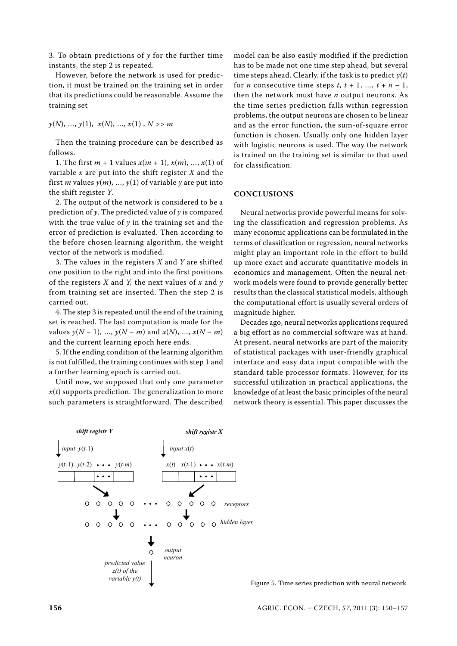3. To obtain predictions of *y* for the further time instants, the step 2 is repeated.

However, before the network is used for prediction, it must be trained on the training set in order that its predictions could be reasonable. Assume the training set

 $y(N), \ldots, y(1), x(N), \ldots, x(1), N \geq m$ 

Then the training procedure can be described as follows.

1. The first  $m + 1$  values  $x(m + 1), x(m), ..., x(1)$  of variable *x* are put into the shift register *X* and the first *m* values  $y(m)$ , ...,  $y(1)$  of variable *y* are put into the shift register *Y*.

2. The output of the network is considered to be a prediction of *y*. The predicted value of *y* is compared with the true value of *y* in the training set and the error of prediction is evaluated. Then according to the before chosen learning algorithm, the weight vector of the network is modified.

3. The values in the registers *X* and *Y* are shifted one position to the right and into the first positions of the registers *X* and *Y,* the next values of *x* and *y* from training set are inserted. Then the step 2 is carried out.

4. The step 3 is repeated until the end of the training set is reached. The last computation is made for the *values*  $y(N - 1)$ , …,  $y(N - m)$  and  $x(N)$ , …,  $x(N - m)$ and the current learning epoch here ends.

5. If the ending condition of the learning algorithm is not fulfilled, the training continues with step 1 and a further learning epoch is carried out.

Until now, we supposed that only one parameter  $x(t)$  supports prediction. The generalization to more such parameters is straightforward. The described model can be also easily modified if the prediction has to be made not one time step ahead, but several time steps ahead. Clearly, if the task is to predict  $y(t)$ for *n* consecutive time steps  $t$ ,  $t + 1$ , …,  $t + n - 1$ , then the network must have *n* output neurons. As the time series prediction falls within regression problems, the output neurons are chosen to be linear and as the error function, the sum-of-square error function is chosen. Usually only one hidden layer with logistic neurons is used. The way the network is trained on the training set is similar to that used for classification.

#### **CONCLUSIONS**

Neural networks provide powerful means for solving the classification and regression problems. As many economic applications can be formulated in the terms of classification or regression, neural networks might play an important role in the effort to build up more exact and accurate quantitative models in economics and management. Often the neural network models were found to provide generally better results than the classical statistical models, although the computational effort is usually several orders of magnitude higher.

Decades ago, neural networks applications required a big effort as no commercial software was at hand. At present, neural networks are part of the majority of statistical packages with user-friendly graphical interface and easy data input compatible with the standard table processor formats. However, for its successful utilization in practical applications, the knowledge of at least the basic principles of the neural network theory is essential. This paper discusses the



Figure 5. Time series prediction with neural network